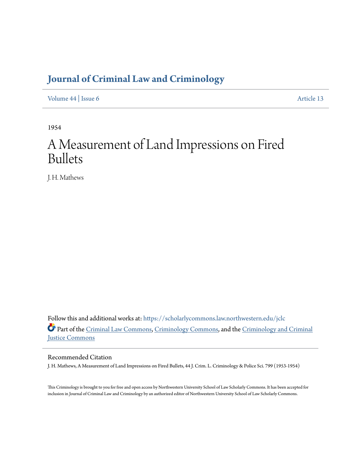# **[Journal of Criminal Law and Criminology](https://scholarlycommons.law.northwestern.edu/jclc?utm_source=scholarlycommons.law.northwestern.edu%2Fjclc%2Fvol44%2Fiss6%2F13&utm_medium=PDF&utm_campaign=PDFCoverPages)**

[Volume 44](https://scholarlycommons.law.northwestern.edu/jclc/vol44?utm_source=scholarlycommons.law.northwestern.edu%2Fjclc%2Fvol44%2Fiss6%2F13&utm_medium=PDF&utm_campaign=PDFCoverPages) | [Issue 6](https://scholarlycommons.law.northwestern.edu/jclc/vol44/iss6?utm_source=scholarlycommons.law.northwestern.edu%2Fjclc%2Fvol44%2Fiss6%2F13&utm_medium=PDF&utm_campaign=PDFCoverPages) [Article 13](https://scholarlycommons.law.northwestern.edu/jclc/vol44/iss6/13?utm_source=scholarlycommons.law.northwestern.edu%2Fjclc%2Fvol44%2Fiss6%2F13&utm_medium=PDF&utm_campaign=PDFCoverPages)

1954

# A Measurement of Land Impressions on Fired Bullets

J. H. Mathews

Follow this and additional works at: [https://scholarlycommons.law.northwestern.edu/jclc](https://scholarlycommons.law.northwestern.edu/jclc?utm_source=scholarlycommons.law.northwestern.edu%2Fjclc%2Fvol44%2Fiss6%2F13&utm_medium=PDF&utm_campaign=PDFCoverPages) Part of the [Criminal Law Commons](http://network.bepress.com/hgg/discipline/912?utm_source=scholarlycommons.law.northwestern.edu%2Fjclc%2Fvol44%2Fiss6%2F13&utm_medium=PDF&utm_campaign=PDFCoverPages), [Criminology Commons](http://network.bepress.com/hgg/discipline/417?utm_source=scholarlycommons.law.northwestern.edu%2Fjclc%2Fvol44%2Fiss6%2F13&utm_medium=PDF&utm_campaign=PDFCoverPages), and the [Criminology and Criminal](http://network.bepress.com/hgg/discipline/367?utm_source=scholarlycommons.law.northwestern.edu%2Fjclc%2Fvol44%2Fiss6%2F13&utm_medium=PDF&utm_campaign=PDFCoverPages) [Justice Commons](http://network.bepress.com/hgg/discipline/367?utm_source=scholarlycommons.law.northwestern.edu%2Fjclc%2Fvol44%2Fiss6%2F13&utm_medium=PDF&utm_campaign=PDFCoverPages)

## Recommended Citation

J. H. Mathews, A Measurement of Land Impressions on Fired Bullets, 44 J. Crim. L. Criminology & Police Sci. 799 (1953-1954)

This Criminology is brought to you for free and open access by Northwestern University School of Law Scholarly Commons. It has been accepted for inclusion in Journal of Criminal Law and Criminology by an authorized editor of Northwestern University School of Law Scholarly Commons.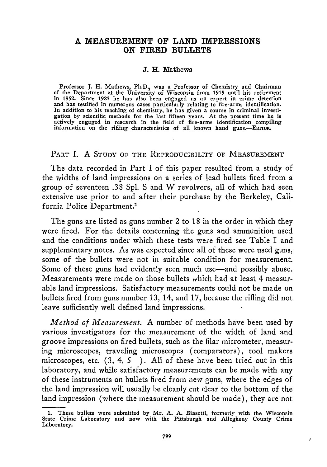#### **A MEASUREMENT** OF **LAND IMPRESSIONS ON** FIRED **BULLETS**

#### **J.** H. Mathews

Professor **J.** H. Mathews, Ph.D., was a Professor of Chemistry and Chairman of the Department at the University of Wisconsin from **1919** until his retirement in 1952. Since 1923 he has also been engaged as an expert in crime detection<br>and has testified in numerous cases particularly relating to fire-arms identification<br>In addition to his teaching of chemistry, he has given a co gation **by** scientific methods for the last fifteen years. At the present time he is actively engaged in research in the field of fire-arms identification compiling information on the rifling characteristics of all known hand guns.-EDITOR.

#### PART I. A STUDY OF THE REPRODUCIBILITY **OF** MEASUREMENT

The data recorded in Part I of this paper resulted from a study of the widths of land impressions on a series of lead bullets fired from a group of seventeen .38 Spl. S and W revolvers, all of which had seen extensive use prior to and after their purchase by the Berkeley, California Police Department.1

The guns are listed as guns number 2 to 18 in the order in which they were fired. For the details concerning the guns and ammunition used and the conditions under which these tests were fired see Table I and supplementary notes. As was expected since all of these were used guns, some of the bullets were not in suitable condition for measurement. Some of these guns had evidently seen much use—and possibly abuse. Measurements were made on those bullets which had at least 4 measurable land impressions. Satisfactory measurements could not be made on bullets fired from guns number 13, 14, and 17, because the rifling did not leave sufficiently well defined land impressions.

*Method of Measurement.* A number of methods have been used **by** various investigators for the measurement of the width of land and groove impressions on fired bullets, such as the filar micrometer, measuring microscopes, traveling microscopes (comparators), tool makers microscopes, etc.  $(3, 4, 5)$ . All of these have been tried out in this laboratory, and while satisfactory measurements can be made with any of these instruments on bullets fired from new guns, where the edges of the land impression will usually be cleanly cut clear to the bottom of the land impression (where the measurement should be made), they are not

7

<sup>1.</sup> These bullets were submitted by Mr. A. A. Biasotti, formerly with the Wisconsin State Crime Laboratory and now with the Pittsburgh and Allegheny County Crime Laboratory.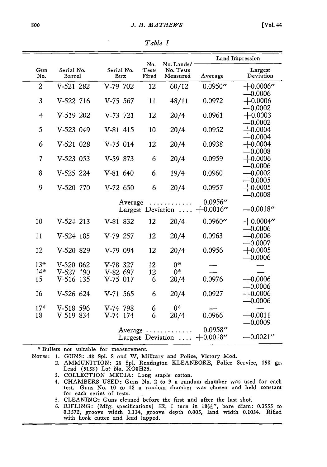|                |                        |                      |                       |                                     | <b>Land Impression</b>  |                                           |
|----------------|------------------------|----------------------|-----------------------|-------------------------------------|-------------------------|-------------------------------------------|
| Gun<br>No.     | Serial No.<br>Barrel   | Serial No.<br>Butt   | No.<br>Tests<br>Fired | No. Lands/<br>No. Tests<br>Measured | Average                 | Largest<br>Deviation                      |
| $\overline{a}$ | V-521 282              | V-79 702             | 12                    | 60/12                               | 0.0950''                | $+0.0006''$                               |
| 3              | V-522 716              | $V-75$ 567           | 11                    | 48/11                               | 0.0972                  | $-0.0006$<br>$+0.0006$<br>$-0.0002$       |
| $\overline{4}$ | V-519 202              | V-73 721             | 12                    | 20/4                                | 0.0961                  | $+0.0003$<br>$\rightarrow$ 0.0002         |
| 5              | V-523 049              | $V-81$ 415           | 10                    | 20/4                                | 0.0952                  | $+0.0004$                                 |
| 6              | V-521 028              | $V-75014$            | 12                    | 20/4                                | 0.0938                  | $-0.0004$<br>$+0.0004$                    |
| 7              | $V-523$ 053            | $V-59873$            | 6                     | 20/4                                | 0.0959                  | $-0.0008$<br>$+0.0006$                    |
| 8              | V-525 224              | $V-81$ 640           | 6                     | 19/4                                | 0.0960                  | $\equiv$ 0.0006<br>$+0.0002$              |
| 9              | V-520 770              | $V-72650$            | 6                     | 20/4                                | 0.0957                  | $-0.0005$<br>$+0.0005$<br>$-0.0008$       |
|                |                        | Average              |                       | Largest Deviation                   | 0.0956''<br>$+0.0016''$ | $-0.0018''$                               |
| 10             | V-524 213              | V-81 832             | 12                    | 20/4                                | 0.0960''                | $+0.0004''$                               |
| 11             | V-524 185              | V-79 257             | 12                    | 20/4                                | 0.0963                  | $-0.0006$<br>$+0.0006$<br>$\equiv$ 0.0007 |
| 12             | V-520 829              | V-79 094             | 12                    | 20/4                                | 0.0956                  | $+0.0005$<br>$-0.0006$                    |
| 13*<br>$14*$   | V-520 062<br>V-527 190 | V-78 327<br>V-82 697 | 12<br>12              | $0*$<br>$0$ *                       |                         |                                           |
| 15             | V-516 135              | $V-75017$            | 6                     | 20/4                                | 0.0976                  | $+0.0006$<br>$-0.0006$                    |
| 16             | V-526 624              | $V-71$ 565           | 6                     | 20/4                                | 0.0927                  | $+0.0006$<br>$\equiv$ 0.0006              |
| $17*$<br>18    | V-518 596<br>V-519 834 | V-74 798<br>V-74 174 | 6<br>6                | $0*$<br>20/4                        | 0.0966                  | $+0.0011$<br>$-0.0009$                    |
|                |                        | Average              |                       | Largest Deviation                   | 0.0958''<br>$+0.0018''$ | $-0.0021''$                               |

*Table I*

\* Bullets not suitable for measurement.

NOTES: 1. GUNS: .38 Spl. S and W, Military and Police, Victory Mod.

- 2. AMMUNITION: 38 Spl. Remington KLEANBORE, Police Service, 158 gr. Lead (5138) Lot No. X08H25.
- **3.** COLLECTION MEDIA: Long staple cotton.
- 4. CHAMBERS USED: Guns No. 2 to 9 a random chamber was used for each test. Guns No. 10 to 18 a random chamber was chosen and held constant for each series of tests.
- *5.* CLEANING': Guns cleaned before the first and after the last shot.
- *6.* RIFLING: (Mfg. specifications) 5R, 1 turn in 18-4", bore diam: 0.3555 to 0.3572, groove width 0.114, groove depth 0.005, land width 0.1034. Rifled with hook cutter and lead lapped.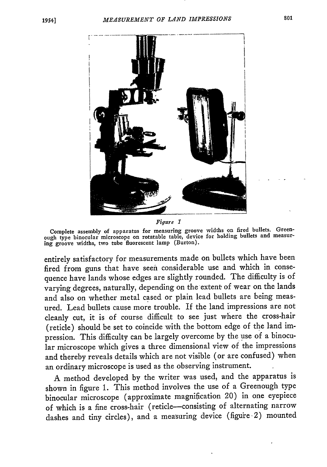

*Figure 1*

Complete assembly of apparatus **for** measuring groove widths on fired bullets. Greenough type binocular microscope on rotatable table, device **for** holding bullets and measuring groove widths, two tube fluorescent lamp (Burton).

entirely satisfactory for measurements made on bullets which have been fired from guns that have seen considerable use and which in consequence have lands whose edges are slightly rounded. The difficulty is of varying degrees, naturally, depending on the extent of wear on the lands and also on whether metal cased or plain lead bullets are being measured. Lead bullets cause more trouble. If the land impressions are not cleanly cut, it is of course difficult to see just where the cross-hair (reticle) should be set to coincide with the bottom edge of the land impression. This difficulty can be largely overcome by the use of a binocular microscope which gives a three dimensional view of the impressions and thereby reveals details which are not visible (or are confused) when an ordinary microscope is used as the observing instrument.

A method developed by the writer was used, and the apparatus is shown in figure 1. This method involves the use of a Greenough type binocular microscope (approximate magnification 20) in one eyepiece of which is a fine cross-hair (reticle-consisting of alternating narrow dashes and tiny circles), and a measuring device (figure *-2)* mounted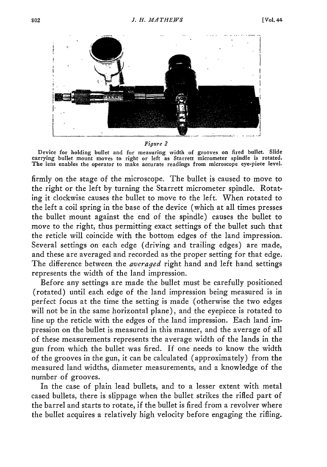

*Figure 2*

Device **for** holding bullet and for measuring width of grooves on fired **bullet.** Slide **carrying** bullet mount moves **to right** or left as Starrett micrometer spindle **is rotated.** The **lens** enables **the** operator **to** make accurate readings from microscope **eye-piece level.**

firmly on the stage of the microscope. The bullet is caused to move to the right or the left **by** turning the Starrett micrometer spindle. Rotating it clockwise causes the bullet to move to the left. When rotated to the left a coil spring in the base of the device (which at all times presses the bullet mount against the end of the spindle) causes the bullet to move to the right, thus permitting exact settings of the bullet such that the reticle will coincide with the bottom edges of the land impression. Several settings on each edge (driving and trailing edges) are made, and these are averaged and recorded as the proper setting for that edge. The difference between the *averaged* right hand and left hand settings represents the width of the land impression.

Before any settings are made the bullet must be carefully positioned (rotated) until each edge of the land impression being measured is in perfect focus at the time the setting is made (otherwise the two edges will not be in the same horizontal plane), and the eyepiece is rotated to line up the reticle with the edges of the land impression. Each land impression on the bullet is measured in this manner, and the average of all of these measurements represents the average width of the lands in the gun from which the bullet was fired. If one needs to know the width of the grooves in the gun, it can be calculated (approximately) from the measured land widths, diameter measurements, and a knowledge of the number of grooves.

In the case of plain lead bullets, and to a lesser extent with metal cased bullets, there is slippage when the bullet strikes the rifled part of the barrel and starts to rotate, if the bullet is fired from a revolver where the bullet acquires a relatively high velocity before engaging the rifling.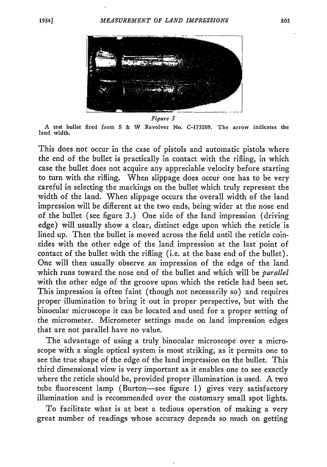

**A** test bullet fired from **S & W** Revolver No. **C-173209.** The arrow indicates the land width.

This does not occur in the case of pistols and automatic pistols where the end of the bullet is practically in contact with the rifling, in which case the bullet does not acquire any appreciable velocity before starting to turn with the rifling. When slippage does occur one has to be very careful in selecting the markings on the bullet which truly represent the width of the land. When slippage occurs the overall width of the land impression will be different at the two ends, being wider at the nose end of the bullet (see figure 3.) One side of the land impression (driving edge) will usually show a clear, distinct edge upon which the reticle is lined up. Then the bullet is moved across the field until the reticle coincides with the other edge of the land impression at the last point of contact of the bullet with the rifling (i.e. at the base end of the bullet). One will then usually observe an impression of the edge of the land which runs toward the nose end of the bullet and which will be *parallel* with the other edge of the groove upon which the reticle had been set. This impression is often faint (though not necessarily so) and requires proper illumination to bring it out in proper perspective, but with the binocular microscope it can be located and used for a proper setting of the micrometer. Micrometer settings made on land impression edges that are not parallel have no value.

The advantage of using a truly binocular microscope over a microscope with a single optical system is most striking, as it permits one to see the true shape of the edge of the land impression on the bullet. This third dimensional view is very important as it enables one to see exactly where the reticle should be, provided proper illumination is used. **A** two tube fluorescent lamp (Burton-see figure 1) gives very satisfactory illumination and is recommended over the customary small spot lights.

To facilitate what is at best a tedious operation of making a very great number of readings whose accuracy depends so much on getting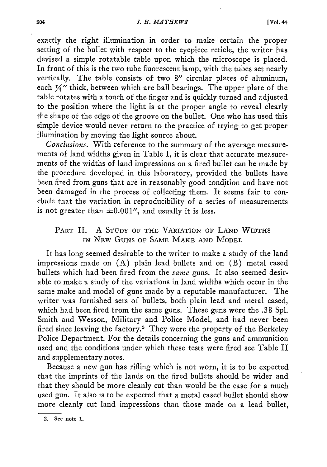exactly the right illumination in order to make certain the proper setting of the bullet with respect to the eyepiece reticle, the writer has devised a simple rotatable table upon which the microscope is placed. In front of this is the two tube fluorescent lamp, with the tubes set nearly vertically. The table consists of two 8" circular plates, of aluminum, each  $\frac{1}{4}$ " thick, between which are ball bearings. The upper plate of the table rotates with a touch of the finger and is quickly turned and adjusted to the position where the light is at the proper angle to reveal clearly the shape of the edge of the groove on the bullet. One who has used this simple device would never return to the practice of trying to get proper illumination by moving the light source about.

*Conclusions.* With reference to the summary of the average measurements of land widths given in Table I, it is clear that accurate measurements of the widths of land impressions on a fired bullet can be made by the procedure developed in this laboratory, provided the bullets have been fired from guns that are in reasonably good condition and have not been damaged in the process of collecting them. It seems fair to conclude that the variation in reproducibility of a series of measurements is not greater than  $\pm 0.001$ ", and usually it is less.

## PART II. A STUDY OF THE VARIATION OF LAND WIDTHS IN NEW GUNS OF SAME MAKE AND MODEL

It has long seemed desirable to the writer to make a study of the land impressions made on (A) plain lead bullets and on (B) metal cased bullets which had been fired from the *same* guns. It also seemed desirable to make a study of the variations in land widths which occur in the same make and model of guns made **by** a reputable manufacturer. The writer was furnished sets of bullets, both plain lead and metal cased, which had been fired from the same guns. These guns were the .38 Spl. Smith and Wesson, Military and Police Model, and had never been fired since leaving the factory.2 They were the property of the Berkeley Police Department. For the details concerning the guns and ammunition used and the conditions under which these tests were fired see Table II and supplementary notes.

Because a new gun has rifling which is not worn, it is to be expected that the imprints of the lands on the fired bullets should be wider and that they should be more cleanly cut than would be the case for a much used gun. It also is to be expected that a metal cased bullet should show more cleanly cut land impressions than those made on a lead bullet,

<sup>2.</sup> See note **1.**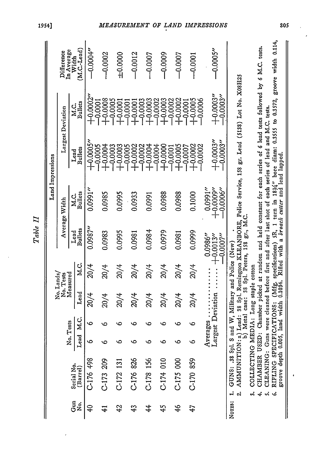| ú<br>J |
|--------|
|        |
| 9      |
|        |
| ۹      |
| ١<br>ς |
| ∼      |
|        |

In Average<br>Width M.C.-Lead) Difference **Nl C)** t **C%** t- *'-4* **CD C) CD** ~ **CD CD C) CD CD o o o C CD C) C ) CD C C) CD C:) C:) C C:) C) CD CD** M.C.<br>Bullets <u>COCCOCOCOCOCO CO</u><br>COCCOCOCOCOCOCO Largest Deviation 0606060606060606<br>0606060606060606<br>+|+|+|+|+|+|+|+|+| **CCDCDC D CD CC CDc C DC) C DC CD CD Bullets** Lead Land Impressions **±++H++++j+1+1 +1** - 0 n0 e **-** 00 00 **CD O0'D <sup>O</sup>**00 **0O m** 00 00 00 **C O0CDC** 0 0' **0.0% 0O 0ON0C% CD 0%C)CD** M.C.<br>Bullets Average Width **C) C!** *::)* **C! q)** C) **q)** *-4!* **CC! CD CD CD CD C) D C CD CDCDC +1 Bullets** r" **co)** 10 n - **0\** <sup>0</sup> **00 00 ON 00** 00 t'- **00 0%** --. <sup>0</sup> Lead **C)CD)CD** '0 0 0 0 0 0 0 \ 0 C) **% 00 C)% C%** %000C 5 5 5 5 5 5 8 8 9 8 <del>5</del> **-; Z ) C** No. Lands/<br>No. Tests<br>Measured **C) C) C) CD C) CD C) C) N NN N N14 o** N 4 **c. C) C)** ) ) ) ) **- Nl** Nq **N Nl N N CN** N \*C 0 **11** Ó Q G G G P **:z** :U ) *4* ७  $\circ$  $\mathbf{c}$  $\circ$  $\circ$  $\circ$ Ó Ó *t*-176 498<br>*t*-173 209<br>*t*-172 131<br>*t-176 826*<br>*t-178 156*<br>*t-174 010* **0\_** 0' 0 '..0 **C) C)** 0' **C' <D** c0) **Nl** in *CD 10)* **-I-** N **00 CD CD 00 0-** [Barrel] '.0 en N **%o** 00 -. *10 C)* **a)** *COn* $\ddot{\mathbf{a}}$  $\ddot{ }$ Gun Nores: s<br>Z  $\frac{4}{5}$  $\overline{4}$  $42$  $\overline{4}$  $45$  $\ddot{+}$  $43$ 47

**.0.** *Co* **4,, Cs** a) ' ີ**່** ng e a

 $\ddot{ }$ 

*"4* P, **o C' 'o 0 %)***04 pq* **z** .0  $\ddot{+}$ ທ່

CLEANING: Guns were cleaned before first and after last shot of each series of lead and M.C. tests. **.00 C-3 C)** a o *)o a*  $\dot{\circ}$ 

groove width 0.114,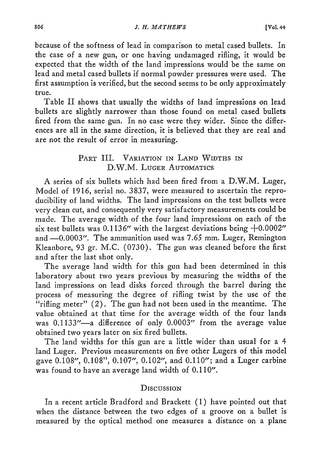because of the softness of lead in comparison to metal cased bullets. In the case of a new gun, or one having undamaged rifling, it would be expected that the width of the land impressions would be the same on lead and metal cased bullets if normal powder pressures were used. The first assumption is verified, but the second seems to be only approximately true.

Table II shows that usually the widths of land impressions on lead bullets are slightly narrower than those found on metal cased bullets fired from the same gun. In no case were they wider. Since the differences are all in the same direction, it is believed that they are real and are not the result of error in measuring.

## PART III. VARIATION IN **LAND** WIDTHS IN D.W.M. **LUGER** AUTOMATICS

A series of six bullets which had been fired from a D.W.M. Luger, Model of 1916, serial no. 3837, were measured to ascertain the reproducibility of land widths. The land impressions on the test bullets were very clean cut, and consequently very satisfactory measurements could be made. The average width of the four land impressions on each of the six test bullets was 0.1136" with the largest deviations being  $+0.0002$ " and  $-0.0003$ ". The ammunition used was  $7.65$  mm. Luger, Remington Kleanbore, 93 gr. M.C. (0730). The gun was cleaned before the first and after the last shot only.

The average land width for this gun had been determined in this laboratory about two years previous by measuring the widths of the land impressions on lead disks forced through the barrel during the process of measuring the degree of rifling twist **by** the use of the "rifling meter" (2). The gun had not been used in the meantime. The value obtained at that time for the average width of the four lands was 0.1133"-a difference of only 0.0003" from the average value obtained two years later on six fired bullets.

The land widths for this gun are a little wider than usual for a 4 land Luger. Previous measurements on five other Lugers of this model gave 0.108", 0.108", 0.107", 0.102", and 0.110"; and a Luger carbine was found to have an average land width of 0.110".

#### **DISCUSSION**

In a recent article Bradford and Brackett (1) have pointed out that when the distance between the two edges of a groove on a bullet is measured by the optical method one measures a distance on a plane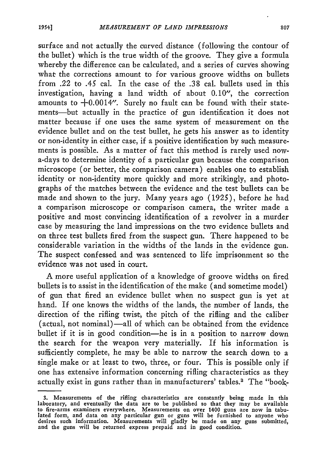surface and not actually the curved distance (following the contour of the bullet) which is the true width of the groove. They give a formula whereby the difference can be calculated, and a series of curves showing what the corrections amount to for various groove widths on bullets from .22 to .45 cal. In the case of the .38 cal. bullets used in this investigation, having a land width of about 0.10", the correction amounts to  $+0.0014$ ". Surely no fault can be found with their statements-but actually in the practice of gun identification it does not matter because if one uses the same system of measurement on the evidence bullet and on the test bullet, he gets his answer as to identity or non-identity in either case, if a positive identification **by** such measurements is possible. As a matter of fact this method is rarely used nowa-days to determine identity of a particular gun because the comparison microscope (or better, the comparison camera) enables one to establish identity or non-identity more quickly and more strikingly, and photographs of the matches between the evidence and the test bullets can be made and shown to the jury. Many years ago (1925), before he had a comparison microscope or comparison camera, the writer made a positive and most convincing identification of a revolver in a murder case by measuring the land impressions on the two evidence bullets and on three test bullets fired from the suspect gun. There happened to be considerable variation in the widths of the lands in the evidence gun. The suspect confessed and was sentenced to life imprisonment so the evidence was not used in court.

A more useful application of a knowledge of groove widths on fired bullets is to assist in the identification of the make (and sometime model) of gun that fired an evidence bullet when no suspect gun is yet at hand. If one knows the widths of the lands, the number of lands, the direction of the rifling twist, the pitch of the rifling and the caliber (actual, not nominal)—all of which can be obtained from the evidence bullet if it is in good condition-he is in a position to narrow down the search for the weapon very materially. If his information is sufficiently complete, he may be able to narrow the search down to a single make or at least to two, three, or four. This is possible only if one has extensive information concerning rifling characteristics as they actually exist in guns rather than in manufacturers' tables.<sup>3</sup> The "book-

<sup>3.</sup> Measurements of the rifling characteristics are constantly being made in this laboratory, and eventually the data are to be published so that they may be available to fire-arms examiners everywhere. Measurements on over **lated form, and data on any particular gun or guns will be furnished** to **anyone who desires such information. Measurements will gladly be made on any guns submitted, and the guns will be returned express prepaid and in good condition.**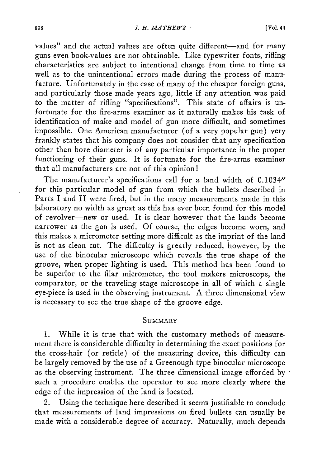values" and the actual values are often quite different-and for many guns even book-values are not obtainable. Like typewriter fonts, rifling characteristics are subject to intentional change from time to time as well as to the unintentional errors made during the process of manufacture. Unfortunately in the case of many of the cheaper foreign guns, and particularly those made years ago, little if any attention was paid to the matter of rifling "specifications". This state of affairs is unfortunate for the fire-arms examiner as it naturally makes his task of identification of make and model of gun more difficult, and sometimes impossible. One American manufacturer (of a very popular gun) very frankly states that his company does not consider that any specification other than bore diameter is of any particular importance in the proper functioning of their guns. It is fortunate for the fire-arms examiner that all manufacturers are not of this opinion!

The manufacturer's specifications call for a land width of 0.1034" for this particular model of gun from which the bullets described in Parts I and II were fired, but in the many measurements made in this laboratory no width as great as this has ever been found for this model of revolver-new or used. It is clear however that the lands become narrower as the gun is used. Of course, the edges become worn, and this makes a micrometer setting more difficult as the imprint of the land is not as clean cut. The difficulty is greatly reduced, however, **by** the use of the binocular microscope which reveals the true shape of the groove, when proper lighting is used. This method has been found to be superior to the filar micrometer, the tool makers microscope, the comparator, or the traveling stage microscope in all of which a single eye-piece is used in the observing instrument. A three dimensional view is necessary to see the true shape of the groove edge.

#### **SUMMARY**

1. While it is true that with the customary methods of measurement there is considerable difficulty in determining the exact positions for the cross-hair (or reticle) of the measuring device, this difficulty can be largely removed by the use of a Greenough type binocular microscope as the observing instrument. The three dimensional image afforded by  $\cdot$ such a procedure enables the operator to see more clearly where the edge of the impression of the land is located.

2. Using the technique here described it seems justifiable to conclude that measurements of land impressions on fired bullets can usually be made with a considerable degree of accuracy. Naturally, much depends